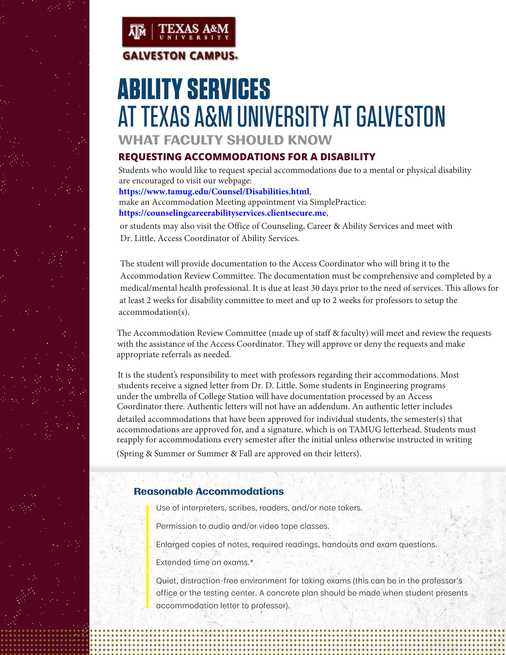



# **ABILITY SERVICES**  AT TEXAS A&M UNIVERSITY AT GALVESTON

**WHAT FACULTY SHOULD KNOW**

# **REQUESTING ACCOMMODATIONS FOR A DISABILITY**

Students who would like to request special accommodations due to a mental or physical disability are encouraged to visit our webpage: **https://www.tamug.edu/Counsel/Disabilities.html**,

make an Accommodation Meeting appointment via SimplePractice: **https://counselingcareerabilityservices.clientsecure.me**,

or students may also visit the Office of Counseling, Career & Ability Services and meet with Dr. Little, Access Coordinator of Ability Services.

The student will provide documentation to the Access Coordinator who will bring it to the Accommodation Review Committee. The documentation must be comprehensive and completed by a medical/mental health professional. It is due at least 30 days prior to the need of services. This allows for at least 2 weeks for disability committee to meet and up to 2 weeks for professors to setup the accommodation(s).

The Accommodation Review Committee (made up of staff & faculty) will meet and review the requests with the assistance of the Access Coordinator. They will approve or deny the requests and make appropriate referrals as needed.

It is the student's responsibility to meet with professors regarding their accommodations. Most students receive a signed letter from Dr. D. Little. Some students in Engineering programs under the umbrella of College Station will have documentation processed by an Access Coordinator there. Authentic letters will not have an addendum. An authentic letter includes detailed accommodations that have been approved for individual students, the semester(s) that accommodations are approved for, and a signature, which is on TAMUG letterhead. Students must reapply for accommodations every semester after the initial unless otherwise instructed in writing (Spring & Summer or Summer & Fall are approved on their letters).

## **Reasonable Accommodations**

Use of interpreters, scribes, readers, and/or note takers.

Permission to audio and/or video tape classes.

Enlarged copies of notes, required readings, handouts and exam questions.

Extended time on exams.\*

Quiet, distraction-free environment for taking exams (this can be in the professor's office or the testing center. A concrete plan should be made when student presents accommodation letter to professor).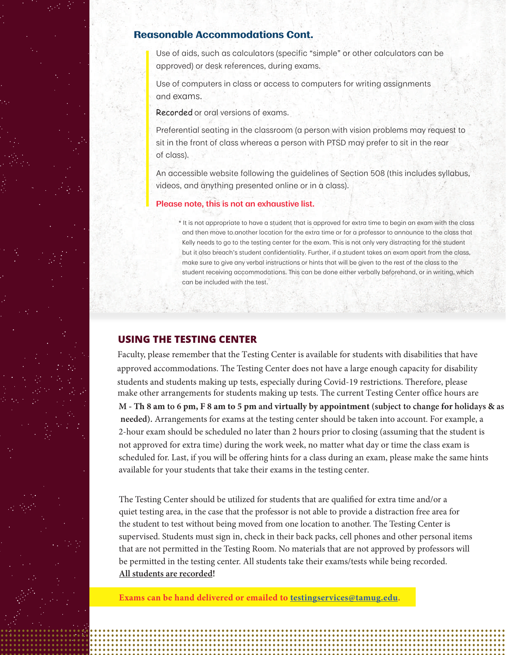#### **Reasonable Accommodations Cont.**

Use of aids, such as calculators (specific "simple" or other calculators can be approved) or desk references, during exams.

Use of computers in class or access to computers for writing assignments and exams.

Recorded or oral versions of exams.

Preferential seating in the classroom (a person with vision problems may request to sit in the front of class whereas a person with PTSD may prefer to sit in the rear of class).

An accessible website following the guidelines of Section 508 (this includes syllabus, videos, and anything presented online or in a class).

#### **Please note, this is not an exhaustive list.**

\* It is not appropriate to have a student that is approved for extra time to begin an exam with the class and then move to another location for the extra time or for a professor to announce to the class that Kelly needs to go to the testing center for the exam. This is not only very distracting for the student but it also breach's student confidentiality. Further, if a student takes an exam apart from the class, make sure to give any verbal instructions or hints that will be given to the rest of the class to the student receiving accommodations. This can be done either verbally beforehand, or in writing, which can be included with the test.

#### **USING THE TESTING CENTER**

Faculty, please remember that the Testing Center is available for students with disabilities that have approved accommodations. The Testing Center does not have a large enough capacity for disability students and students making up tests, especially during Covid-19 restrictions. Therefore, please make other arrangements for students making up tests. The current Testing Center office hours are **M - Th 8 am to 6 pm, F 8 am to 5 pm and virtually by appointment (subject to change for holidays & as needed).** Arrangements for exams at the testing center should be taken into account. For example, a 2-hour exam should be scheduled no later than 2 hours prior to closing (assuming that the student is not approved for extra time) during the work week, no matter what day or time the class exam is scheduled for. Last, if you will be offering hints for a class during an exam, please make the same hints available for your students that take their exams in the testing center.

The Testing Center should be utilized for students that are qualified for extra time and/or a quiet testing area, in the case that the professor is not able to provide a distraction free area for the student to test without being moved from one location to another. The Testing Center is supervised. Students must sign in, check in their back packs, cell phones and other personal items that are not permitted in the Testing Room. No materials that are not approved by professors will be permitted in the testing center. All students take their exams/tests while being recorded. **All students are recorded!**

**Exams can be hand delivered or emailed to [testingservices@tamug.edu.](mailto:testingservices@tamug.edu)**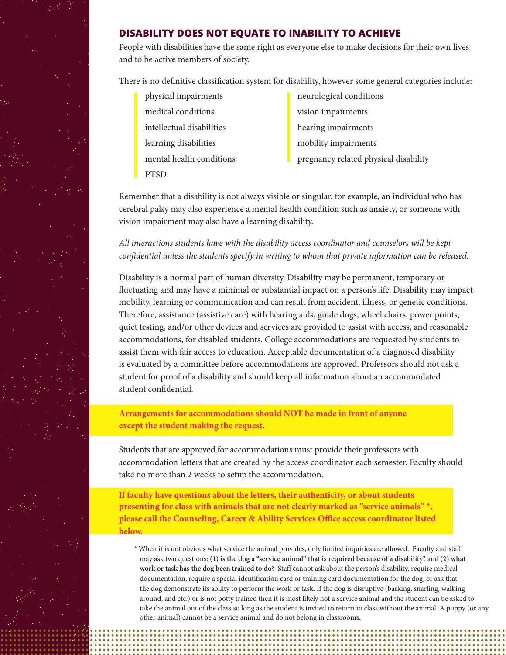

#### **DISABILITY DOES NOT EQUATE TO INABILITY TO ACHIEVE**

People with disabilities have the same right as everyone else to make decisions for their own lives and to be active members of society.

There is no definitive classification system for disability, however some general categories include:

- medical conditions vision impairments intellectual disabilities hearing impairments learning disabilities **mobility** impairments PTSD
	- physical impairments **neurological conditions** mental health conditions **pregnancy related physical disability**

Remember that a disability is not always visible or singular, for example, an individual who has cerebral palsy may also experience a mental health condition such as anxiety, or someone with vision impairment may also have a learning disability.

*All interactions students have with the disability access coordinator and counselors will be kept confidential unless the students specify in writing to whom that private information can be released.* 

Disability is a normal part of human diversity. Disability may be permanent, temporary or fluctuating and may have a minimal or substantial impact on a person's life. Disability may impact mobility, learning or communication and can result from accident, illness, or genetic conditions. Therefore, assistance (assistive care) with hearing aids, guide dogs, wheel chairs, power points, quiet testing, and/or other devices and services are provided to assist with access, and reasonable accommodations, for disabled students. College accommodations are requested by students to assist them with fair access to education. Acceptable documentation of a diagnosed disability is evaluated by a committee before accommodations are approved. Professors should not ask a student for proof of a disability and should keep all information about an accommodated student confidential.

**Arrangements for accommodations should NOT be made in front of anyone except the student making the request.** 

Students that are approved for accommodations must provide their professors with accommodation letters that are created by the access coordinator each semester. Faculty should take no more than 2 weeks to setup the accommodation.

**If faculty have questions about the letters, their authenticity, or about students presenting for class with animals that are not clearly marked as "service animals" \*, please call the Counseling, Career & Ability Services Office access coordinator listed below.** 

\* When it is not obvious what service the animal provides, only limited inquiries are allowed. Faculty and staff may ask two questions: **(1) is the dog a "service animal" that is required because of a disability?** and **(2) what**  work or task has the dog been trained to do? Staff cannot ask about the person's disability, require medical documentation, require a special identification card or training card documentation for the dog, or ask that the dog demonstrate its ability to perform the work or task. If the dog is disruptive (barking, snarling, walking around, and etc.) or is not potty trained then it is most likely not a service animal and the student can be asked to take the animal out of the class so long as the student is invited to return to class without the animal. A puppy (or any other animal) cannot be a service animal and do not belong in classrooms.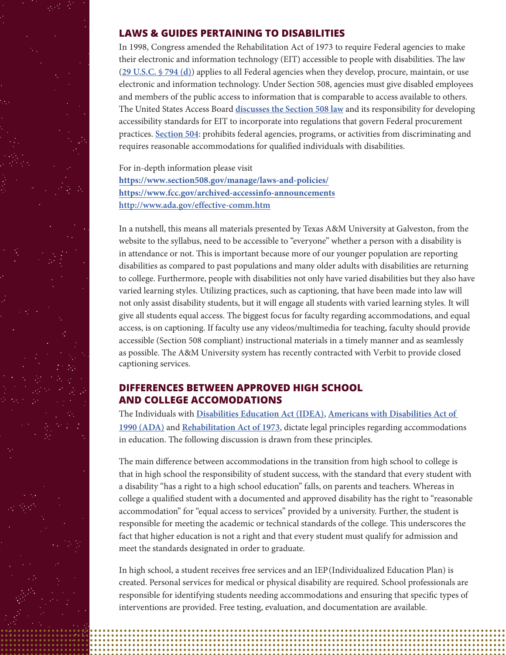

#### **LAWS & GUIDES PERTAINING TO DISABILITIES**

In 1998, Congress amended the Rehabilitation Act of 1973 to require Federal agencies to make their electronic and information technology (EIT) accessible to people with disabilities. The law (**[29 U.S.C. § 794 \(d\)](http://www.gpo.gov/fdsys/pkg/USCODE-2011-title29/html/USCODE-2011-title29-chap16-subchapV-sec794d.htm)**) applies to all Federal agencies when they develop, procure, maintain, or use electronic and information technology. Under Section 508, agencies must give disabled employees and members of the public access to information that is comparable to access available to others. The United States Access Board [discusses the Section 508 law](https://www.access-board.gov/ict.html) and its responsibility for developing accessibility standards for EIT to incorporate into regulations that govern Federal procurement practices. **[Section 504](https://www2.ed.gov/about/offices/list/ocr/504faq.html)**: prohibits federal agencies, programs, or activities from discriminating and requires reasonable accommodations for qualified individuals with disabilities.

For in-depth information please visit **<https://www.section508.gov/manage/laws-and-policies/> <https://www.fcc.gov/archived-accessinfo-announcements>** http://www.ada.gov/effective-comm.htm

In a nutshell, this means all materials presented by Texas A&M University at Galveston, from the website to the syllabus, need to be accessible to "everyone" whether a person with a disability is in attendance or not. This is important because more of our younger population are reporting disabilities as compared to past populations and many older adults with disabilities are returning to college. Furthermore, people with disabilities not only have varied disabilities but they also have varied learning styles. Utilizing practices, such as captioning, that have been made into law will not only assist disability students, but it will engage all students with varied learning styles. It will give all students equal access. T he biggest focus for faculty regarding accommodations, and equal access, is on captioning. If faculty use any videos/multimedia for teaching, faculty should provide accessible (Section 508 compliant) instructional materials in a timely manner and as seamlessly as possible. The A&M University system has recently contracted with Verbit to provide closed captioning services.

## **DIFFERENCES BETWEEN APPROVED HIGH SCHOOL AND COLLEGE ACCOMODATIONS**

T he Individuals with **[Disabilities Education Act \(IDEA\)](http://idea.ed.gov/)**, **[Americans with Disabilities Act of](https://adata.org/learn-about-ada)  [1990 \(ADA\)](https://adata.org/learn-about-ada)** and **[Rehabilitation Act of 1973](https://www.eeoc.gov/statutes/rehabilitation-act-1973)**, dictate legal principles regarding accommodations in education. The following discussion is drawn from these principles.

The main difference between accommodations in the transition from high school to college is that in high school the responsibility of student success, with the standard that every student with a disability "has a right to a high school education" falls, on parents and teachers. Whereas in college a qualified student with a documented and approved disability has the right to "reasonable accommodation" for "equal access to services" provided by a university. Further, the student is responsible for meeting the academic or technical standards of the college. This underscores the fact that higher education is not a right and that every student must qualify for admission and meet the standards designated in order to graduate.

In high school, a student receives free services and an IEP (Individualized Education Plan) is created. Personal services for medical or physical disability are required. School professionals are responsible for identifying students needing accommodations and ensuring that specific types of interventions are provided. Free testing, evaluation, and documentation are available.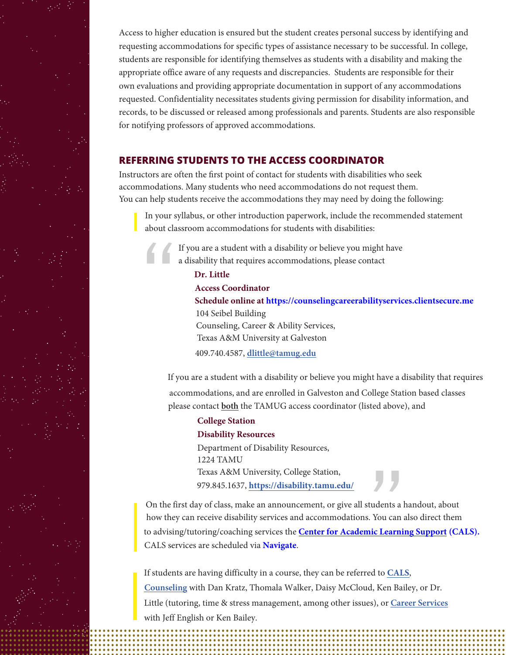Access to higher education is ensured but the student creates personal success by identifying and requesting accommodations for specific types of assistance necessary to be successful. In college, students are responsible for identifying themselves as students with a disability and making the appropriate office aware of any requests and discrepancies. Students are responsible for their own evaluations and providing appropriate documentation in support of any accommodations requested. Confidentiality necessitates students giving permission for disability information, and records, to be discussed or released among professionals and parents. Students are also responsible for notifying professors of approved accommodations.

### **REFERRING STUDENTS TO THE ACCESS COORDINATOR**

Instructors are often the first point of contact for students with disabilities who seek accommodations. Many students who need accommodations do not request them. You can help students receive the accommodations they may need by doing the following:

In your syllabus, or other introduction paperwork, include the recommended statement about classroom accommodations for students with disabilities:

If you are a student with a disability or believe you might have a disability that requires accommodations, please contact

#### **Dr. Little**

**Access Coordinator**

**Schedule online at https://counselingcareerabilityservices.clientsecure.me** Counseling, Career & Ability Services, 104 Seibel Building Texas A&M University at Galveston

409.740.4587, **[dlittle@tamug.edu](mailto:dlittle@tamug.edu)**

If you are a student with a disability or believe you might have a disability that requires accommodations, and are enrolled in Galveston and College Station based classes please contact **both** the TAMUG access coordinator (listed above), and

#### **College Station Disability Resources**

Department of Disability Resources, 1224 TAMU Texas A&M University, College Station, 979.845.1637, **[https://disability.tamu.edu/](mailto:lesliec@disability.tamu.edu)**

On the first day of class, make an announcement, or give all students a handout, about how they can receive disability services and accommodations. You can also direct them to advising/tutoring/coaching services the **[Center for Academic Learning Support \(CALS\)](https://www.tamug.edu/cals/advising/index.html#:~:text=The%20Center%20for%20Academic%20Learning,non%2Dmajor%2Dspecific%20questions.).** CALS services are scheduled via **[Navigate](https://www.tamug.edu/cals/navigate.html)**.

If students are having difficulty in a course, they can be referred to [CALS](https://www.tamug.edu/cals/advising/index.html#:~:text=The%20Center%20for%20Academic%20Learning,non%2Dmajor%2Dspecific%20questions.), **[Counseling](https://www.tamug.edu/counsel/)** with Dan Kratz, Thomala Walker, Daisy McCloud, Ken Bailey, or Dr. Little (tutoring, time & stress management, among other issues), or **[Career Services](https://www.tamug.edu/career/)** with Jeff English or Ken Bailey.